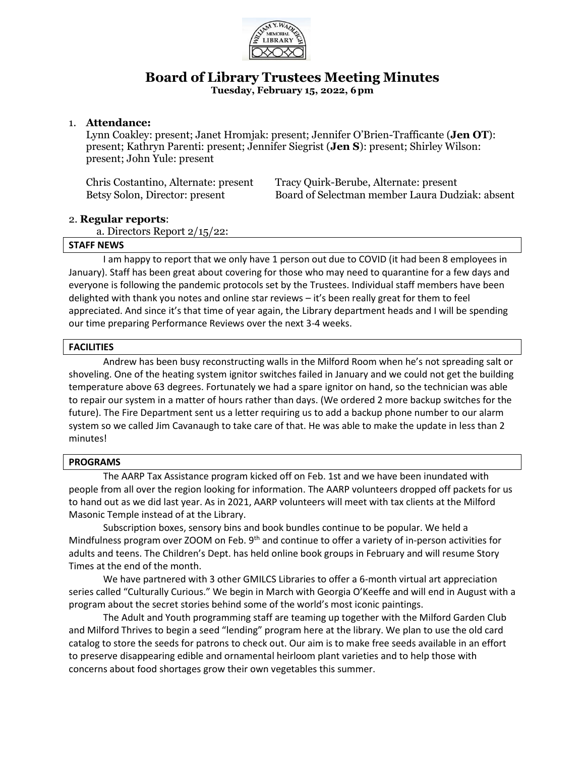

# **Board of Library Trustees Meeting Minutes**

**Tuesday, February 15, 2022, 6pm**

## 1. **Attendance:**

Lynn Coakley: present; Janet Hromjak: present; Jennifer O'Brien-Trafficante (**Jen OT**): present; Kathryn Parenti: present; Jennifer Siegrist (**Jen S**): present; Shirley Wilson: present; John Yule: present

| Chris Costantino, Alternate: present | Tracy Quirk-Berube, Alternate: present          |
|--------------------------------------|-------------------------------------------------|
| Betsy Solon, Director: present       | Board of Selectman member Laura Dudziak: absent |

## 2. **Regular reports**:

a. Directors Report 2/15/22:

## **STAFF NEWS**

I am happy to report that we only have 1 person out due to COVID (it had been 8 employees in January). Staff has been great about covering for those who may need to quarantine for a few days and everyone is following the pandemic protocols set by the Trustees. Individual staff members have been delighted with thank you notes and online star reviews – it's been really great for them to feel appreciated. And since it's that time of year again, the Library department heads and I will be spending our time preparing Performance Reviews over the next 3-4 weeks.

## **FACILITIES**

Andrew has been busy reconstructing walls in the Milford Room when he's not spreading salt or shoveling. One of the heating system ignitor switches failed in January and we could not get the building temperature above 63 degrees. Fortunately we had a spare ignitor on hand, so the technician was able to repair our system in a matter of hours rather than days. (We ordered 2 more backup switches for the future). The Fire Department sent us a letter requiring us to add a backup phone number to our alarm system so we called Jim Cavanaugh to take care of that. He was able to make the update in less than 2 minutes!

#### **PROGRAMS**

The AARP Tax Assistance program kicked off on Feb. 1st and we have been inundated with people from all over the region looking for information. The AARP volunteers dropped off packets for us to hand out as we did last year. As in 2021, AARP volunteers will meet with tax clients at the Milford Masonic Temple instead of at the Library.

Subscription boxes, sensory bins and book bundles continue to be popular. We held a Mindfulness program over ZOOM on Feb. 9<sup>th</sup> and continue to offer a variety of in-person activities for adults and teens. The Children's Dept. has held online book groups in February and will resume Story Times at the end of the month.

We have partnered with 3 other GMILCS Libraries to offer a 6-month virtual art appreciation series called "Culturally Curious." We begin in March with Georgia O'Keeffe and will end in August with a program about the secret stories behind some of the world's most iconic paintings.

The Adult and Youth programming staff are teaming up together with the Milford Garden Club and Milford Thrives to begin a seed "lending" program here at the library. We plan to use the old card catalog to store the seeds for patrons to check out. Our aim is to make free seeds available in an effort to preserve disappearing edible and ornamental heirloom plant varieties and to help those with concerns about food shortages grow their own vegetables this summer.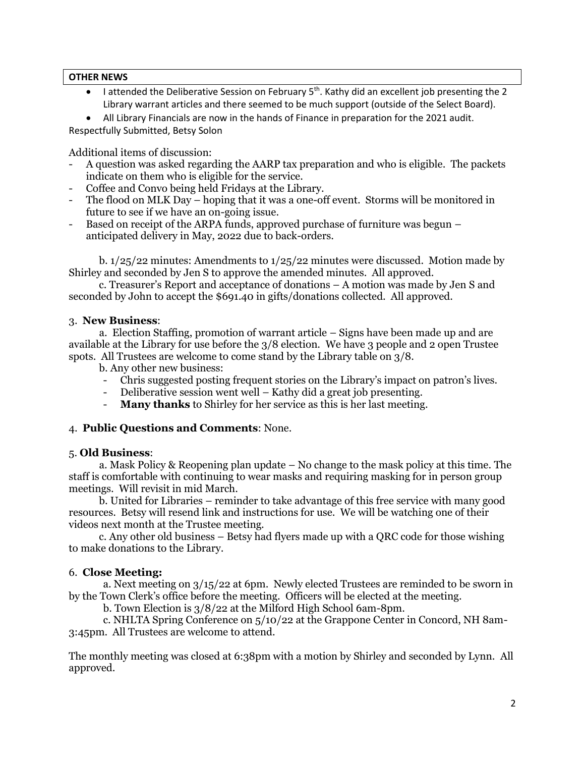## **OTHER NEWS**

• I attended the Deliberative Session on February 5<sup>th</sup>. Kathy did an excellent job presenting the 2 Library warrant articles and there seemed to be much support (outside of the Select Board).

• All Library Financials are now in the hands of Finance in preparation for the 2021 audit. Respectfully Submitted, Betsy Solon

Additional items of discussion:

- A question was asked regarding the AARP tax preparation and who is eligible. The packets indicate on them who is eligible for the service.
- Coffee and Convo being held Fridays at the Library.
- The flood on MLK Day hoping that it was a one-off event. Storms will be monitored in future to see if we have an on-going issue.
- Based on receipt of the ARPA funds, approved purchase of furniture was begun anticipated delivery in May, 2022 due to back-orders.

b.  $1/25/22$  minutes: Amendments to  $1/25/22$  minutes were discussed. Motion made by Shirley and seconded by Jen S to approve the amended minutes. All approved.

 c. Treasurer's Report and acceptance of donations – A motion was made by Jen S and seconded by John to accept the \$691.40 in gifts/donations collected. All approved.

#### 3. **New Business**:

 a. Election Staffing, promotion of warrant article – Signs have been made up and are available at the Library for use before the 3/8 election. We have 3 people and 2 open Trustee spots. All Trustees are welcome to come stand by the Library table on 3/8.

b. Any other new business:

- Chris suggested posting frequent stories on the Library's impact on patron's lives.
- Deliberative session went well Kathy did a great job presenting.
- **Many thanks** to Shirley for her service as this is her last meeting.

#### 4. **Public Questions and Comments**: None.

#### 5. **Old Business**:

 a. Mask Policy & Reopening plan update – No change to the mask policy at this time. The staff is comfortable with continuing to wear masks and requiring masking for in person group meetings. Will revisit in mid March.

 b. United for Libraries – reminder to take advantage of this free service with many good resources. Betsy will resend link and instructions for use. We will be watching one of their videos next month at the Trustee meeting.

 c. Any other old business – Betsy had flyers made up with a QRC code for those wishing to make donations to the Library.

## 6. **Close Meeting:**

a. Next meeting on 3/15/22 at 6pm. Newly elected Trustees are reminded to be sworn in by the Town Clerk's office before the meeting. Officers will be elected at the meeting.

b. Town Election is 3/8/22 at the Milford High School 6am-8pm.

c. NHLTA Spring Conference on 5/10/22 at the Grappone Center in Concord, NH 8am-3:45pm. All Trustees are welcome to attend.

The monthly meeting was closed at 6:38pm with a motion by Shirley and seconded by Lynn. All approved.